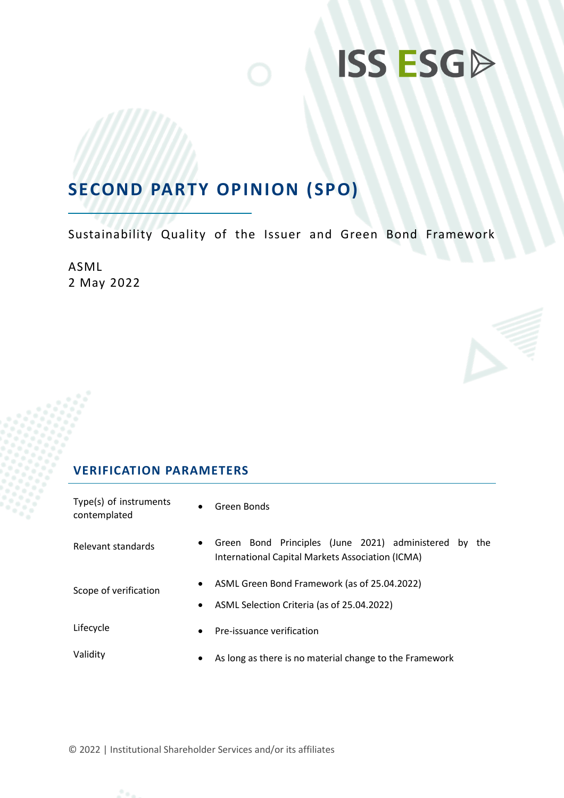## **SECOND PARTY OPINION (SPO)**

Sustainability Quality of the Issuer and Green Bond Framework

ASML 2 May 2022

### **VERIFICATION PARAMETERS**

| Type(s) of instruments<br>contemplated | $\bullet$              | Green Bonds                                                                                                  |
|----------------------------------------|------------------------|--------------------------------------------------------------------------------------------------------------|
| Relevant standards                     | $\bullet$              | Green Bond Principles (June 2021) administered by<br>the<br>International Capital Markets Association (ICMA) |
| Scope of verification                  | $\bullet$<br>$\bullet$ | ASML Green Bond Framework (as of 25.04.2022)<br>ASML Selection Criteria (as of 25.04.2022)                   |
| Lifecycle                              | $\bullet$              | Pre-issuance verification                                                                                    |
| Validity                               | $\bullet$              | As long as there is no material change to the Framework                                                      |

© 2022 | Institutional Shareholder Services and/or its affiliates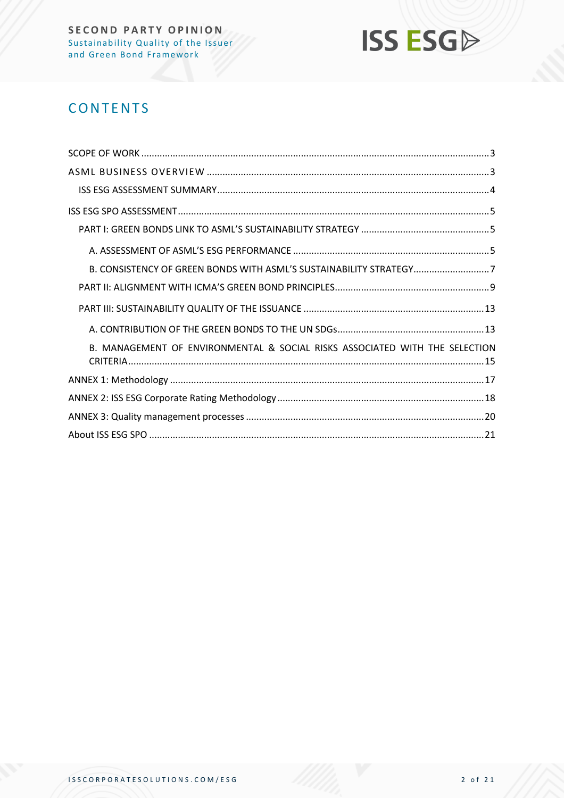

## **CONTENTS**

| B. CONSISTENCY OF GREEN BONDS WITH ASML'S SUSTAINABILITY STRATEGY7          |
|-----------------------------------------------------------------------------|
|                                                                             |
|                                                                             |
|                                                                             |
| B. MANAGEMENT OF ENVIRONMENTAL & SOCIAL RISKS ASSOCIATED WITH THE SELECTION |
|                                                                             |
|                                                                             |
|                                                                             |
|                                                                             |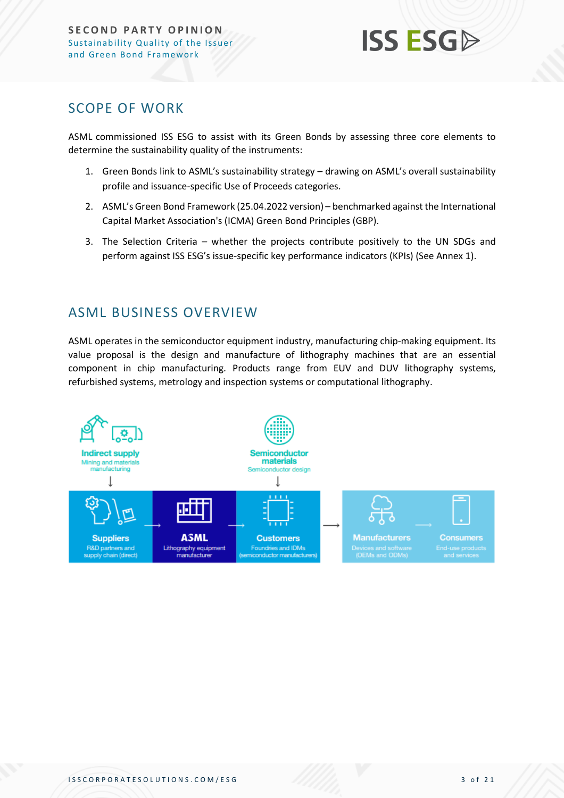

### <span id="page-2-0"></span>SCOPE OF WORK

ASML commissioned ISS ESG to assist with its Green Bonds by assessing three core elements to determine the sustainability quality of the instruments:

- 1. Green Bonds link to ASML's sustainability strategy drawing on ASML's overall sustainability profile and issuance-specific Use of Proceeds categories.
- 2. ASML's Green Bond Framework (25.04.2022 version) benchmarked against the International Capital Market Association's (ICMA) Green Bond Principles (GBP).
- 3. The Selection Criteria whether the projects contribute positively to the UN SDGs and perform against ISS ESG's issue-specific key performance indicators (KPIs) (See Annex 1).

### <span id="page-2-1"></span>ASML BUSINESS OVERVIEW

ASML operates in the semiconductor equipment industry, manufacturing chip-making equipment. Its value proposal is the design and manufacture of lithography machines that are an essential component in chip manufacturing. Products range from EUV and DUV lithography systems, refurbished systems, metrology and inspection systems or computational lithography.

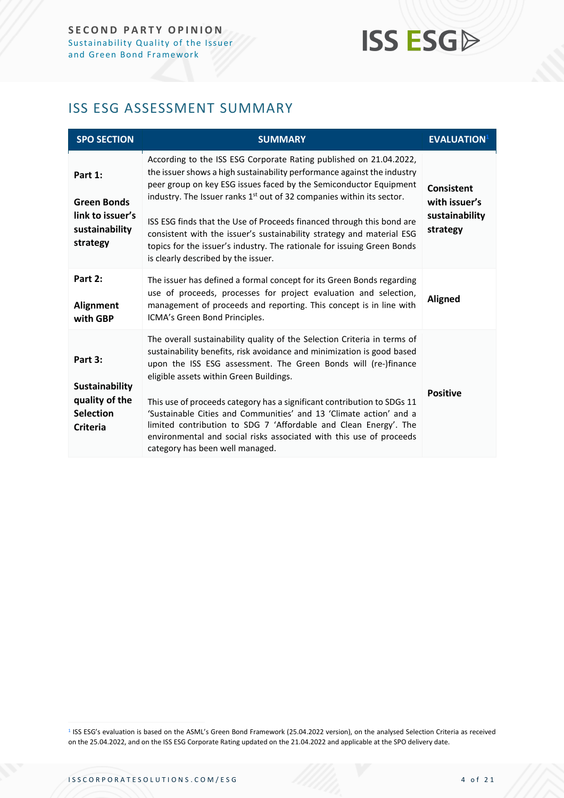## <span id="page-3-0"></span>ISS ESG ASSESSMENT SUMMARY

| <b>SPO SECTION</b>                                                                        | <b>SUMMARY</b>                                                                                                                                                                                                                                                                                                                                                                                                                                                                                                                                                                                 | <b>EVALUATION</b>                                                |
|-------------------------------------------------------------------------------------------|------------------------------------------------------------------------------------------------------------------------------------------------------------------------------------------------------------------------------------------------------------------------------------------------------------------------------------------------------------------------------------------------------------------------------------------------------------------------------------------------------------------------------------------------------------------------------------------------|------------------------------------------------------------------|
| Part 1:<br><b>Green Bonds</b><br>link to issuer's<br>sustainability<br>strategy           | According to the ISS ESG Corporate Rating published on 21.04.2022,<br>the issuer shows a high sustainability performance against the industry<br>peer group on key ESG issues faced by the Semiconductor Equipment<br>industry. The Issuer ranks 1 <sup>st</sup> out of 32 companies within its sector.<br>ISS ESG finds that the Use of Proceeds financed through this bond are<br>consistent with the issuer's sustainability strategy and material ESG<br>topics for the issuer's industry. The rationale for issuing Green Bonds<br>is clearly described by the issuer.                    | <b>Consistent</b><br>with issuer's<br>sustainability<br>strategy |
| Part 2:<br><b>Alignment</b><br>with GBP                                                   | The issuer has defined a formal concept for its Green Bonds regarding<br>use of proceeds, processes for project evaluation and selection,<br>management of proceeds and reporting. This concept is in line with<br>ICMA's Green Bond Principles.                                                                                                                                                                                                                                                                                                                                               | <b>Aligned</b>                                                   |
| Part 3:<br><b>Sustainability</b><br>quality of the<br><b>Selection</b><br><b>Criteria</b> | The overall sustainability quality of the Selection Criteria in terms of<br>sustainability benefits, risk avoidance and minimization is good based<br>upon the ISS ESG assessment. The Green Bonds will (re-)finance<br>eligible assets within Green Buildings.<br>This use of proceeds category has a significant contribution to SDGs 11<br>'Sustainable Cities and Communities' and 13 'Climate action' and a<br>limited contribution to SDG 7 'Affordable and Clean Energy'. The<br>environmental and social risks associated with this use of proceeds<br>category has been well managed. | <b>Positive</b>                                                  |

<sup>1</sup> ISS ESG's evaluation is based on the ASML's Green Bond Framework (25.04.2022 version), on the analysed Selection Criteria as received on the 25.04.2022, and on the ISS ESG Corporate Rating updated on the 21.04.2022 and applicable at the SPO delivery date.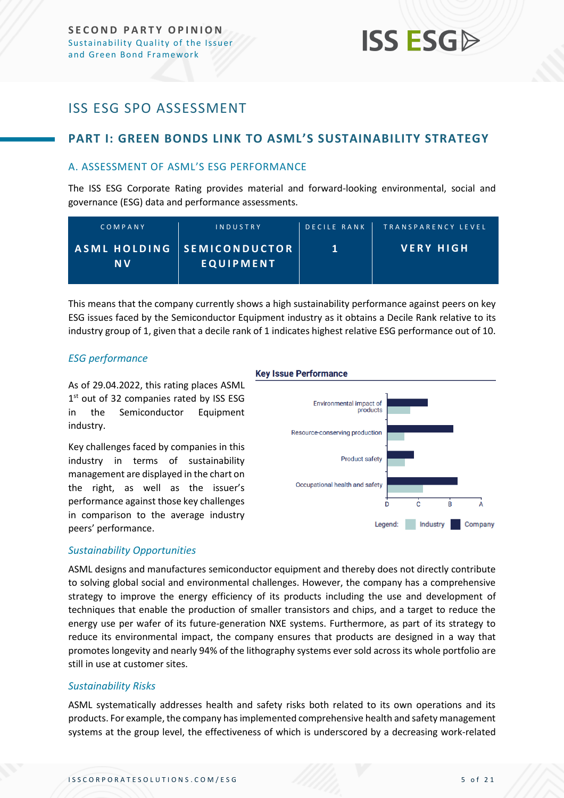## <span id="page-4-0"></span>ISS ESG SPO ASSESSMENT

#### <span id="page-4-1"></span>**PART I: GREEN BONDS LINK TO ASML'S SUSTAINABILITY STRATEGY**

#### <span id="page-4-2"></span>A. ASSESSMENT OF ASML'S ESG PERFORMANCE

The ISS ESG Corporate Rating provides material and forward-looking environmental, social and governance (ESG) data and performance assessments.

| COMPANY   | <b>INDUSTRY</b>                                | <b>DECILE RANK</b> | TRANSPARENCY LEVEL |
|-----------|------------------------------------------------|--------------------|--------------------|
| <b>NV</b> | ASML HOLDING SEMICONDUCTOR<br><b>EQUIPMENT</b> |                    | <b>VERY HIGH</b>   |

This means that the company currently shows a high sustainability performance against peers on key ESG issues faced by the Semiconductor Equipment industry as it obtains a Decile Rank relative to its industry group of 1, given that a decile rank of 1 indicates highest relative ESG performance out of 10.

#### *ESG performance*

As of 29.04.2022, this rating places ASML 1<sup>st</sup> out of 32 companies rated by ISS ESG in the Semiconductor Equipment industry.

Key challenges faced by companies in this industry in terms of sustainability management are displayed in the chart on the right, as well as the issuer's performance against those key challenges in comparison to the average industry peers' performance.

#### **Key Issue Performance**



#### *Sustainability Opportunities*

ASML designs and manufactures semiconductor equipment and thereby does not directly contribute to solving global social and environmental challenges. However, the company has a comprehensive strategy to improve the energy efficiency of its products including the use and development of techniques that enable the production of smaller transistors and chips, and a target to reduce the energy use per wafer of its future-generation NXE systems. Furthermore, as part of its strategy to reduce its environmental impact, the company ensures that products are designed in a way that promotes longevity and nearly 94% of the lithography systems ever sold across its whole portfolio are still in use at customer sites.

#### *Sustainability Risks*

ASML systematically addresses health and safety risks both related to its own operations and its products. For example, the company has implemented comprehensive health and safety management systems at the group level, the effectiveness of which is underscored by a decreasing work-related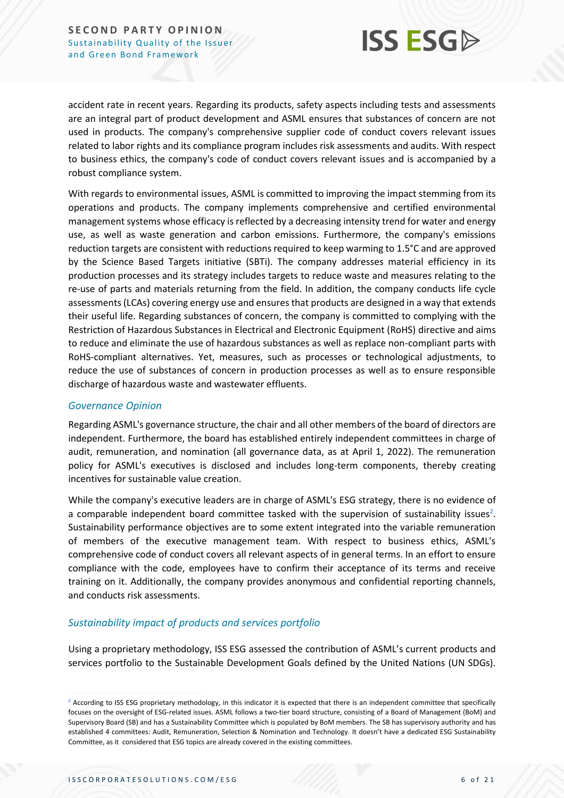

accident rate in recent years. Regarding its products, safety aspects including tests and assessments are an integral part of product development and ASML ensures that substances of concern are not used in products. The company's comprehensive supplier code of conduct covers relevant issues related to labor rights and its compliance program includes risk assessments and audits. With respect to business ethics, the company's code of conduct covers relevant issues and is accompanied by a robust compliance system.

With regards to environmental issues, ASML is committed to improving the impact stemming from its operations and products. The company implements comprehensive and certified environmental management systems whose efficacy is reflected by a decreasing intensity trend for water and energy use, as well as waste generation and carbon emissions. Furthermore, the company's emissions reduction targets are consistent with reductions required to keep warming to 1.5°C and are approved by the Science Based Targets initiative (SBTi). The company addresses material efficiency in its production processes and its strategy includes targets to reduce waste and measures relating to the re-use of parts and materials returning from the field. In addition, the company conducts life cycle assessments (LCAs) covering energy use and ensures that products are designed in a way that extends their useful life. Regarding substances of concern, the company is committed to complying with the Restriction of Hazardous Substances in Electrical and Electronic Equipment (RoHS) directive and aims to reduce and eliminate the use of hazardous substances as well as replace non-compliant parts with RoHS-compliant alternatives. Yet, measures, such as processes or technological adjustments, to reduce the use of substances of concern in production processes as well as to ensure responsible discharge of hazardous waste and wastewater effluents.

#### *Governance Opinion*

Regarding ASML's governance structure, the chair and all other members of the board of directors are independent. Furthermore, the board has established entirely independent committees in charge of audit, remuneration, and nomination (all governance data, as at April 1, 2022). The remuneration policy for ASML's executives is disclosed and includes long-term components, thereby creating incentives for sustainable value creation.

While the company's executive leaders are in charge of ASML's ESG strategy, there is no evidence of a comparable independent board committee tasked with the supervision of sustainability issues<sup>2</sup>. Sustainability performance objectives are to some extent integrated into the variable remuneration of members of the executive management team. With respect to business ethics, ASML's comprehensive code of conduct covers all relevant aspects of in general terms. In an effort to ensure compliance with the code, employees have to confirm their acceptance of its terms and receive training on it. Additionally, the company provides anonymous and confidential reporting channels, and conducts risk assessments.

#### *Sustainability impact of products and services portfolio*

Using a proprietary methodology, ISS ESG assessed the contribution of ASML's current products and services portfolio to the Sustainable Development Goals defined by the United Nations (UN SDGs).

<sup>&</sup>lt;sup>2</sup> According to ISS ESG proprietary methodology, in this indicator it is expected that there is an independent committee that specifically focuses on the oversight of ESG-related issues. ASML follows a two-tier board structure, consisting of a Board of Management (BoM) and Supervisory Board (SB) and has a Sustainability Committee which is populated by BoM members. The SB has supervisory authority and has established 4 committees: Audit, Remuneration, Selection & Nomination and Technology. It doesn't have a dedicated ESG Sustainability Committee, as it considered that ESG topics are already covered in the existing committees.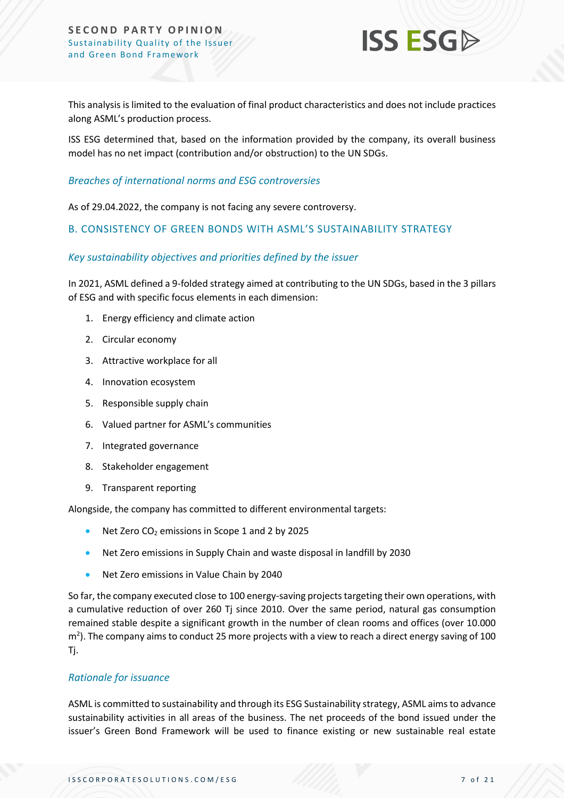

This analysis is limited to the evaluation of final product characteristics and does not include practices along ASML's production process.

ISS ESG determined that, based on the information provided by the company, its overall business model has no net impact (contribution and/or obstruction) to the UN SDGs.

#### *Breaches of international norms and ESG controversies*

As of 29.04.2022, the company is not facing any severe controversy.

#### <span id="page-6-0"></span>B. CONSISTENCY OF GREEN BONDS WITH ASML'S SUSTAINABILITY STRATEGY

#### *Key sustainability objectives and priorities defined by the issuer*

In 2021, ASML defined a 9-folded strategy aimed at contributing to the UN SDGs, based in the 3 pillars of ESG and with specific focus elements in each dimension:

- 1. Energy efficiency and climate action
- 2. Circular economy
- 3. Attractive workplace for all
- 4. Innovation ecosystem
- 5. Responsible supply chain
- 6. Valued partner for ASML's communities
- 7. Integrated governance
- 8. Stakeholder engagement
- 9. Transparent reporting

Alongside, the company has committed to different environmental targets:

- Net Zero CO<sub>2</sub> emissions in Scope 1 and 2 by 2025
- Net Zero emissions in Supply Chain and waste disposal in landfill by 2030
- Net Zero emissions in Value Chain by 2040

So far, the company executed close to 100 energy-saving projects targeting their own operations, with a cumulative reduction of over 260 Tj since 2010. Over the same period, natural gas consumption remained stable despite a significant growth in the number of clean rooms and offices (over 10.000  $\textsf{m}^2$ ). The company aims to conduct 25 more projects with a view to reach a direct energy saving of 100 Tj.

#### *Rationale for issuance*

ASML is committed to sustainability and through its ESG Sustainability strategy, ASML aims to advance sustainability activities in all areas of the business. The net proceeds of the bond issued under the issuer's Green Bond Framework will be used to finance existing or new sustainable real estate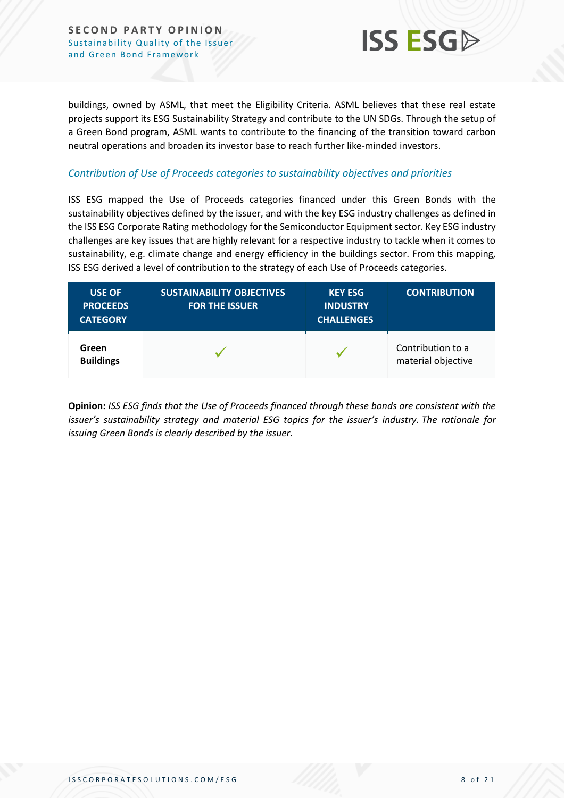**SECOND PARTY OPINION** Sustainability Quality of the Issuer and Green Bond Framework



buildings, owned by ASML, that meet the Eligibility Criteria. ASML believes that these real estate projects support its ESG Sustainability Strategy and contribute to the UN SDGs. Through the setup of a Green Bond program, ASML wants to contribute to the financing of the transition toward carbon neutral operations and broaden its investor base to reach further like-minded investors.

#### *Contribution of Use of Proceeds categories to sustainability objectives and priorities*

ISS ESG mapped the Use of Proceeds categories financed under this Green Bonds with the sustainability objectives defined by the issuer, and with the key ESG industry challenges as defined in the ISS ESG Corporate Rating methodology for the Semiconductor Equipment sector. Key ESG industry challenges are key issues that are highly relevant for a respective industry to tackle when it comes to sustainability, e.g. climate change and energy efficiency in the buildings sector. From this mapping, ISS ESG derived a level of contribution to the strategy of each Use of Proceeds categories.

| <b>USE OF</b><br><b>PROCEEDS</b><br><b>CATEGORY</b> | <b>SUSTAINABILITY OBJECTIVES</b><br><b>FOR THE ISSUER</b> | <b>KEY ESG</b><br><b>INDUSTRY</b><br><b>CHALLENGES</b> | <b>CONTRIBUTION</b>                     |
|-----------------------------------------------------|-----------------------------------------------------------|--------------------------------------------------------|-----------------------------------------|
| Green<br><b>Buildings</b>                           |                                                           |                                                        | Contribution to a<br>material objective |

**Opinion:** *ISS ESG finds that the Use of Proceeds financed through these bonds are consistent with the issuer's sustainability strategy and material ESG topics for the issuer's industry. The rationale for issuing Green Bonds is clearly described by the issuer.*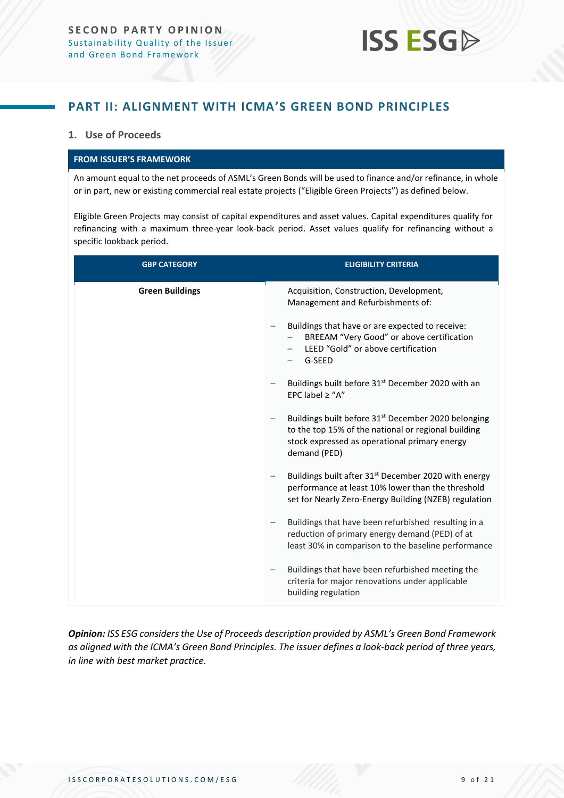### <span id="page-8-0"></span>**PART II: ALIGNMENT WITH ICMA'S GREEN BOND PRINCIPLES**

#### **1. Use of Proceeds**

#### **FROM ISSUER'S FRAMEWORK**

An amount equal to the net proceeds of ASML's Green Bonds will be used to finance and/or refinance, in whole or in part, new or existing commercial real estate projects ("Eligible Green Projects") as defined below.

Eligible Green Projects may consist of capital expenditures and asset values. Capital expenditures qualify for refinancing with a maximum three-year look-back period. Asset values qualify for refinancing without a specific lookback period.

| <b>GBP CATEGORY</b>    | <b>ELIGIBILITY CRITERIA</b>                                                                                                                                                             |
|------------------------|-----------------------------------------------------------------------------------------------------------------------------------------------------------------------------------------|
| <b>Green Buildings</b> | Acquisition, Construction, Development,<br>Management and Refurbishments of:                                                                                                            |
|                        | Buildings that have or are expected to receive:<br>BREEAM "Very Good" or above certification<br>LEED "Gold" or above certification<br>G-SEED                                            |
|                        | Buildings built before 31 <sup>st</sup> December 2020 with an<br>EPC label $\ge$ "A"                                                                                                    |
|                        | Buildings built before 31 <sup>st</sup> December 2020 belonging<br>to the top 15% of the national or regional building<br>stock expressed as operational primary energy<br>demand (PED) |
|                        | Buildings built after 31 <sup>st</sup> December 2020 with energy<br>performance at least 10% lower than the threshold<br>set for Nearly Zero-Energy Building (NZEB) regulation          |
|                        | Buildings that have been refurbished resulting in a<br>reduction of primary energy demand (PED) of at<br>least 30% in comparison to the baseline performance                            |
|                        | Buildings that have been refurbished meeting the<br>criteria for major renovations under applicable<br>building regulation                                                              |

*Opinion: ISS ESG considers the Use of Proceeds description provided by ASML's Green Bond Framework as aligned with the ICMA's Green Bond Principles. The issuer defines a look-back period of three years, in line with best market practice.*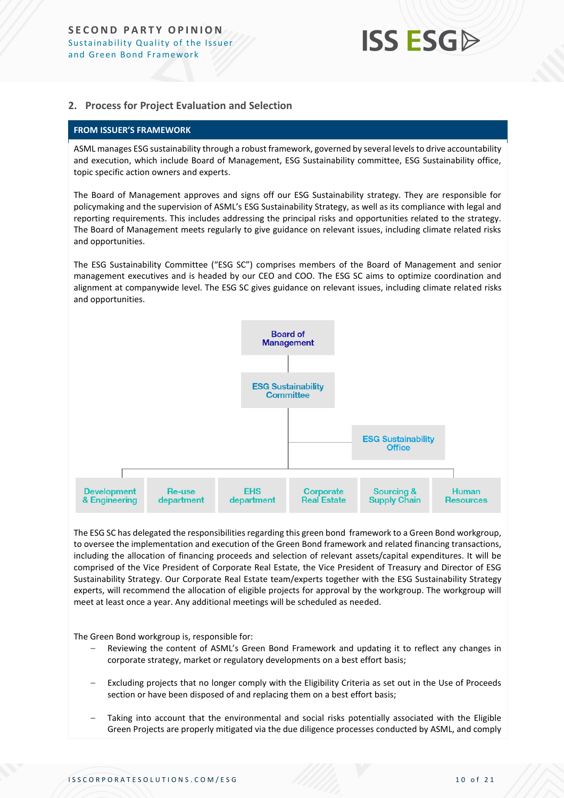#### **2. Process for Project Evaluation and Selection**

#### **FROM ISSUER'S FRAMEWORK**

ASML manages ESG sustainability through a robust framework, governed by several levels to drive accountability and execution, which include Board of Management, ESG Sustainability committee, ESG Sustainability office, topic specific action owners and experts.

The Board of Management approves and signs off our ESG Sustainability strategy. They are responsible for policymaking and the supervision of ASML's ESG Sustainability Strategy, as well as its compliance with legal and reporting requirements. This includes addressing the principal risks and opportunities related to the strategy. The Board of Management meets regularly to give guidance on relevant issues, including climate related risks and opportunities.

The ESG Sustainability Committee ("ESG SC") comprises members of the Board of Management and senior management executives and is headed by our CEO and COO. The ESG SC aims to optimize coordination and alignment at companywide level. The ESG SC gives guidance on relevant issues, including climate related risks and opportunities.



The ESG SC has delegated the responsibilities regarding this green bond framework to a Green Bond workgroup, to oversee the implementation and execution of the Green Bond framework and related financing transactions, including the allocation of financing proceeds and selection of relevant assets/capital expenditures. It will be comprised of the Vice President of Corporate Real Estate, the Vice President of Treasury and Director of ESG Sustainability Strategy. Our Corporate Real Estate team/experts together with the ESG Sustainability Strategy experts, will recommend the allocation of eligible projects for approval by the workgroup. The workgroup will meet at least once a year. Any additional meetings will be scheduled as needed.

The Green Bond workgroup is, responsible for:

- Reviewing the content of ASML's Green Bond Framework and updating it to reflect any changes in corporate strategy, market or regulatory developments on a best effort basis;
- Excluding projects that no longer comply with the Eligibility Criteria as set out in the Use of Proceeds section or have been disposed of and replacing them on a best effort basis;
- Taking into account that the environmental and social risks potentially associated with the Eligible Green Projects are properly mitigated via the due diligence processes conducted by ASML, and comply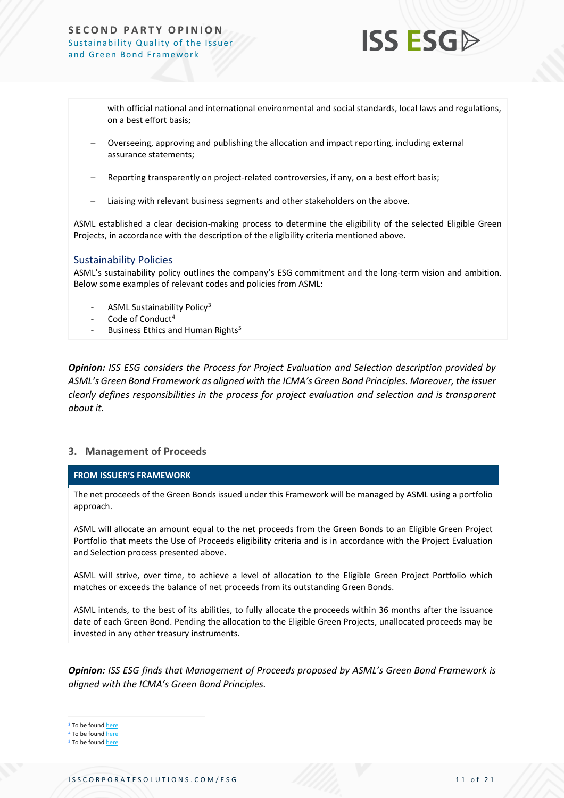#### **SECOND PARTY OPINION** Sustainability Quality of the Issuer and Green Bond Framework



with official national and international environmental and social standards, local laws and regulations, on a best effort basis;

- Overseeing, approving and publishing the allocation and impact reporting, including external assurance statements;
- Reporting transparently on project-related controversies, if any, on a best effort basis;
- Liaising with relevant business segments and other stakeholders on the above.

ASML established a clear decision-making process to determine the eligibility of the selected Eligible Green Projects, in accordance with the description of the eligibility criteria mentioned above.

#### Sustainability Policies

ASML's sustainability policy outlines the company's ESG commitment and the long-term vision and ambition. Below some examples of relevant codes and policies from ASML:

- ASML Sustainability Policy<sup>3</sup>
- Code of Conduct $4$
- Business Ethics and Human Rights<sup>5</sup>

*Opinion: ISS ESG considers the Process for Project Evaluation and Selection description provided by ASML's Green Bond Framework as aligned with the ICMA's Green Bond Principles. Moreover, the issuer clearly defines responsibilities in the process for project evaluation and selection and is transparent about it.*

#### **3. Management of Proceeds**

#### **FROM ISSUER'S FRAMEWORK**

The net proceeds of the Green Bonds issued under this Framework will be managed by ASML using a portfolio approach.

ASML will allocate an amount equal to the net proceeds from the Green Bonds to an Eligible Green Project Portfolio that meets the Use of Proceeds eligibility criteria and is in accordance with the Project Evaluation and Selection process presented above.

ASML will strive, over time, to achieve a level of allocation to the Eligible Green Project Portfolio which matches or exceeds the balance of net proceeds from its outstanding Green Bonds.

ASML intends, to the best of its abilities, to fully allocate the proceeds within 36 months after the issuance date of each Green Bond. Pending the allocation to the Eligible Green Projects, unallocated proceeds may be invested in any other treasury instruments.

*Opinion: ISS ESG finds that Management of Proceeds proposed by ASML's Green Bond Framework is aligned with the ICMA's Green Bond Principles.*

<sup>3</sup> To be found [here](https://www.asml.com/en/company/sustainability)

<sup>4</sup> To be found [here](https://www.responsiblebusiness.org/code-of-conduct/)

<sup>5</sup> To be found **[here](https://www.asml.com/governance/code-of-conduct/human-rights/en/s9859?rid=55870)**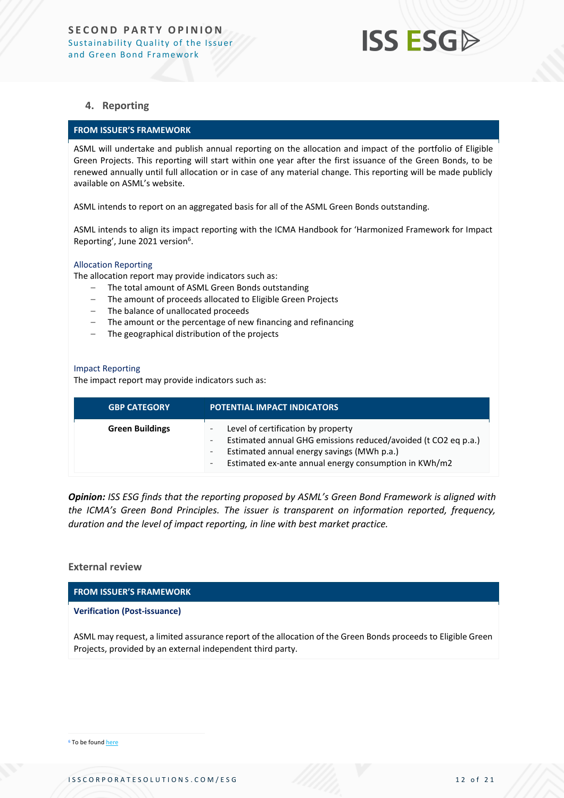#### **4. Reporting**

#### **FROM ISSUER'S FRAMEWORK**

ASML will undertake and publish annual reporting on the allocation and impact of the portfolio of Eligible Green Projects. This reporting will start within one year after the first issuance of the Green Bonds, to be renewed annually until full allocation or in case of any material change. This reporting will be made publicly available on ASML's website.

ASML intends to report on an aggregated basis for all of the ASML Green Bonds outstanding.

ASML intends to align its impact reporting with the ICMA Handbook for 'Harmonized Framework for Impact Reporting', June 2021 version<sup>6</sup>.

#### Allocation Reporting

The allocation report may provide indicators such as:

- The total amount of ASML Green Bonds outstanding
- The amount of proceeds allocated to Eligible Green Projects
- The balance of unallocated proceeds
- The amount or the percentage of new financing and refinancing
- The geographical distribution of the projects

#### Impact Reporting

The impact report may provide indicators such as:

| <b>GBP CATEGORY</b>    | <b>POTENTIAL IMPACT INDICATORS</b>                                                                                                                                                                          |
|------------------------|-------------------------------------------------------------------------------------------------------------------------------------------------------------------------------------------------------------|
| <b>Green Buildings</b> | Level of certification by property<br>Estimated annual GHG emissions reduced/avoided (t CO2 eq p.a.)<br>Estimated annual energy savings (MWh p.a.)<br>Estimated ex-ante annual energy consumption in KWh/m2 |

*Opinion: ISS ESG finds that the reporting proposed by ASML's Green Bond Framework is aligned with the ICMA's Green Bond Principles. The issuer is transparent on information reported, frequency, duration and the level of impact reporting, in line with best market practice.*

#### **External review**

**FROM ISSUER'S FRAMEWORK**

#### **Verification (Post-issuance)**

ASML may request, a limited assurance report of the allocation of the Green Bonds proceeds to Eligible Green Projects, provided by an external independent third party.

<sup>6</sup> To be foun[d here](https://www.icmagroup.org/sustainable-finance/impact-reporting/)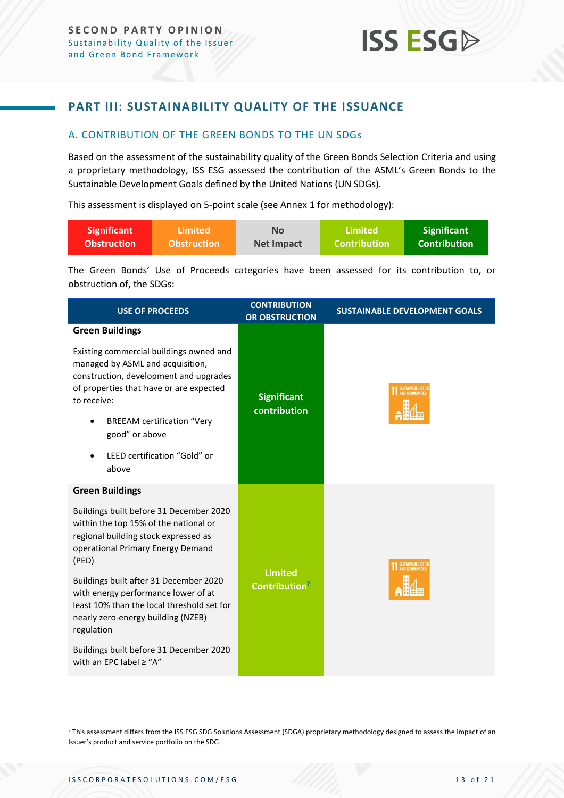### <span id="page-12-0"></span>**PART III: SUSTAINABILITY QUALITY OF THE ISSUANCE**

#### <span id="page-12-1"></span>A. CONTRIBUTION OF THE GREEN BONDS TO THE UN SDGs

Based on the assessment of the sustainability quality of the Green Bonds Selection Criteria and using a proprietary methodology, ISS ESG assessed the contribution of the ASML's Green Bonds to the Sustainable Development Goals defined by the United Nations (UN SDGs).

This assessment is displayed on 5-point scale (see Annex 1 for methodology):

| <b>Significant</b> | Limited            | <b>No</b>  | Limited             | <b>Significant</b>  |
|--------------------|--------------------|------------|---------------------|---------------------|
| <b>Obstruction</b> | <b>Obstruction</b> | Net Impact | <b>Contribution</b> | <b>Contribution</b> |

The Green Bonds' Use of Proceeds categories have been assessed for its contribution to, or obstruction of, the SDGs:

| <b>USE OF PROCEEDS</b>                                                                                                                                                                                                                                                                                         | <b>CONTRIBUTION</b><br><b>OR OBSTRUCTION</b> | <b>SUSTAINABLE DEVELOPMENT GOALS</b> |
|----------------------------------------------------------------------------------------------------------------------------------------------------------------------------------------------------------------------------------------------------------------------------------------------------------------|----------------------------------------------|--------------------------------------|
| <b>Green Buildings</b><br>Existing commercial buildings owned and<br>managed by ASML and acquisition,<br>construction, development and upgrades<br>of properties that have or are expected<br>to receive:<br><b>BREEAM certification "Very</b><br>٠<br>good" or above<br>LEED certification "Gold" or<br>above | <b>Significant</b><br>contribution           | SUSTAINABLE CITIE                    |
| <b>Green Buildings</b>                                                                                                                                                                                                                                                                                         |                                              |                                      |
| Buildings built before 31 December 2020<br>within the top 15% of the national or<br>regional building stock expressed as<br>operational Primary Energy Demand<br>(PED)                                                                                                                                         |                                              | SUSTAINABLE CITIE                    |
| Buildings built after 31 December 2020<br>with energy performance lower of at<br>least 10% than the local threshold set for<br>nearly zero-energy building (NZEB)<br>regulation                                                                                                                                | <b>Limited</b><br><b>Contribution</b>        |                                      |
| Buildings built before 31 December 2020<br>with an EPC label $\geq$ "A"                                                                                                                                                                                                                                        |                                              |                                      |

7 This assessment differs from the ISS ESG SDG Solutions Assessment (SDGA) proprietary methodology designed to assess the impact of an Issuer's product and service portfolio on the SDG.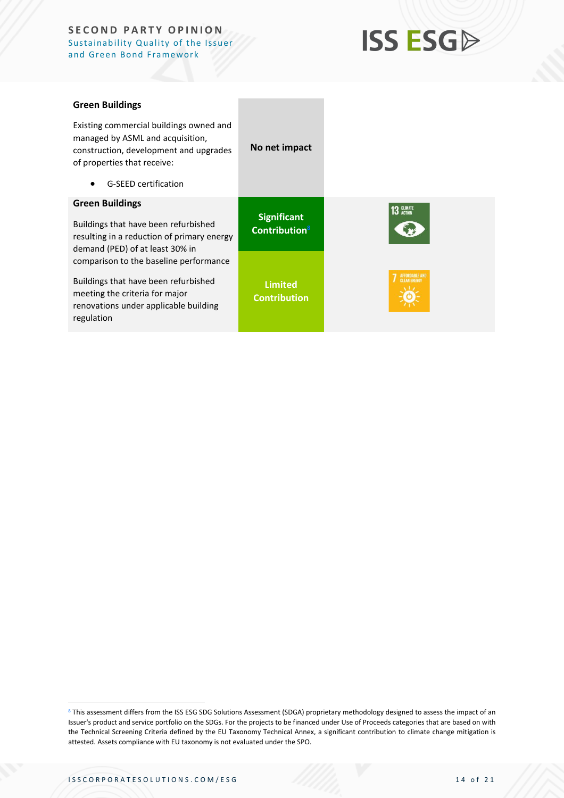#### **SECOND PARTY OPINION** Sustainability Quality of the Issuer and Green Bond Framework

## **ISS ESGA**

| <b>Green Buildings</b>                                                                                                                               |                                                 |
|------------------------------------------------------------------------------------------------------------------------------------------------------|-------------------------------------------------|
| Existing commercial buildings owned and<br>managed by ASML and acquisition,<br>construction, development and upgrades<br>of properties that receive: | No net impact                                   |
| <b>G-SEED certification</b>                                                                                                                          |                                                 |
| <b>Green Buildings</b>                                                                                                                               |                                                 |
| Buildings that have been refurbished<br>resulting in a reduction of primary energy<br>demand (PED) of at least 30% in                                | <b>Significant</b><br>Contribution <sup>8</sup> |
| comparison to the baseline performance                                                                                                               |                                                 |
| Buildings that have been refurbished<br>meeting the criteria for major                                                                               | <b>Limited</b><br><b>Contribution</b>           |

8 This assessment differs from the ISS ESG SDG Solutions Assessment (SDGA) proprietary methodology designed to assess the impact of an Issuer's product and service portfolio on the SDGs. For the projects to be financed under Use of Proceeds categories that are based on with the Technical Screening Criteria defined by the EU Taxonomy Technical Annex, a significant contribution to climate change mitigation is attested. Assets compliance with EU taxonomy is not evaluated under the SPO.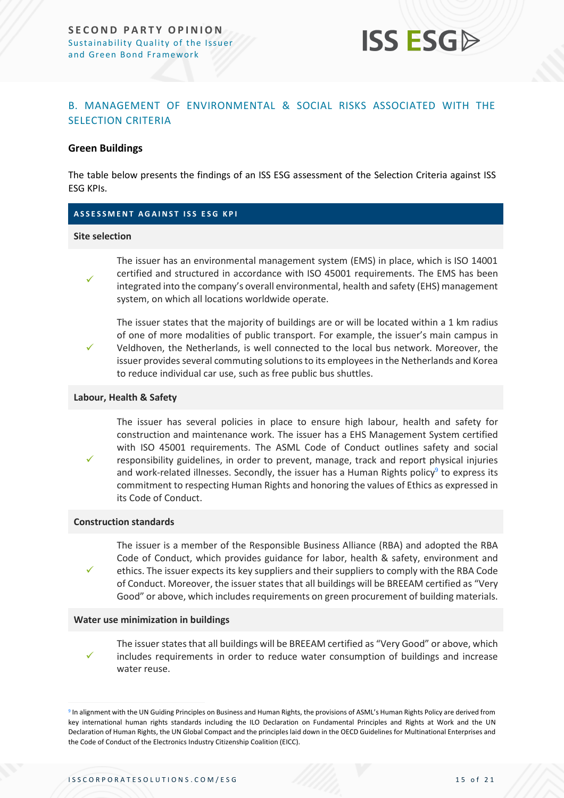

#### <span id="page-14-0"></span>B. MANAGEMENT OF ENVIRONMENTAL & SOCIAL RISKS ASSOCIATED WITH THE SELECTION CRITERIA

#### **Green Buildings**

The table below presents the findings of an ISS ESG assessment of the Selection Criteria against ISS ESG KPIs.

#### **A S S E S S M E N T A G A I N S T I S S E S G K P I**

#### **Site selection**

✓

✓

✓

✓

The issuer has an environmental management system (EMS) in place, which is ISO 14001 certified and structured in accordance with ISO 45001 requirements. The EMS has been integrated into the company's overall environmental, health and safety (EHS) management system, on which all locations worldwide operate.

The issuer states that the majority of buildings are or will be located within a 1 km radius of one of more modalities of public transport. For example, the issuer's main campus in Veldhoven, the Netherlands, is well connected to the local bus network. Moreover, the issuer provides several commuting solutions to its employees in the Netherlands and Korea to reduce individual car use, such as free public bus shuttles.

#### **Labour, Health & Safety**

The issuer has several policies in place to ensure high labour, health and safety for construction and maintenance work. The issuer has a EHS Management System certified with ISO 45001 requirements. The ASML Code of Conduct outlines safety and social responsibility guidelines, in order to prevent, manage, track and report physical injuries and work-related illnesses. Secondly, the issuer has a Human Rights policy<sup>9</sup> to express its commitment to respecting Human Rights and honoring the values of Ethics as expressed in its Code of Conduct.

#### **Construction standards**

The issuer is a member of the Responsible Business Alliance (RBA) and adopted the RBA Code of Conduct, which provides guidance for labor, health & safety, environment and ethics. The issuer expects its key suppliers and their suppliers to comply with the RBA Code of Conduct. Moreover, the issuer states that all buildings will be BREEAM certified as "Very Good" or above, which includes requirements on green procurement of building materials.

#### **Water use minimization in buildings**

✓ The issuer states that all buildings will be BREEAM certified as "Very Good" or above, which includes requirements in order to reduce water consumption of buildings and increase water reuse.

<sup>9</sup> In alignment with the UN Guiding Principles on Business and Human Rights, the provisions of ASML's Human Rights Policy are derived from key international human rights standards including the ILO Declaration on Fundamental Principles and Rights at Work and the UN Declaration of Human Rights, the UN Global Compact and the principles laid down in the OECD Guidelines for Multinational Enterprises and the Code of Conduct of the Electronics Industry Citizenship Coalition (EICC).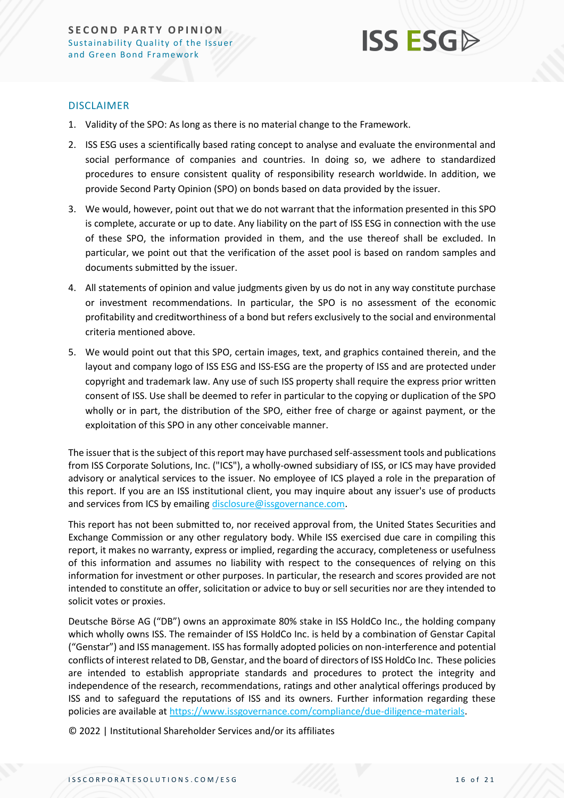

#### DISCLAIMER

- 1. Validity of the SPO: As long as there is no material change to the Framework.
- 2. ISS ESG uses a scientifically based rating concept to analyse and evaluate the environmental and social performance of companies and countries. In doing so, we adhere to standardized procedures to ensure consistent quality of responsibility research worldwide. In addition, we provide Second Party Opinion (SPO) on bonds based on data provided by the issuer.
- 3. We would, however, point out that we do not warrant that the information presented in this SPO is complete, accurate or up to date. Any liability on the part of ISS ESG in connection with the use of these SPO, the information provided in them, and the use thereof shall be excluded. In particular, we point out that the verification of the asset pool is based on random samples and documents submitted by the issuer.
- 4. All statements of opinion and value judgments given by us do not in any way constitute purchase or investment recommendations. In particular, the SPO is no assessment of the economic profitability and creditworthiness of a bond but refers exclusively to the social and environmental criteria mentioned above.
- 5. We would point out that this SPO, certain images, text, and graphics contained therein, and the layout and company logo of ISS ESG and ISS-ESG are the property of ISS and are protected under copyright and trademark law. Any use of such ISS property shall require the express prior written consent of ISS. Use shall be deemed to refer in particular to the copying or duplication of the SPO wholly or in part, the distribution of the SPO, either free of charge or against payment, or the exploitation of this SPO in any other conceivable manner.

The issuer that is the subject of this report may have purchased self-assessment tools and publications from ISS Corporate Solutions, Inc. ("ICS"), a wholly-owned subsidiary of ISS, or ICS may have provided advisory or analytical services to the issuer. No employee of ICS played a role in the preparation of this report. If you are an ISS institutional client, you may inquire about any issuer's use of products and services from ICS by emailin[g disclosure@issgovernance.com.](mailto:disclosure@issgovernance.com)

This report has not been submitted to, nor received approval from, the United States Securities and Exchange Commission or any other regulatory body. While ISS exercised due care in compiling this report, it makes no warranty, express or implied, regarding the accuracy, completeness or usefulness of this information and assumes no liability with respect to the consequences of relying on this information for investment or other purposes. In particular, the research and scores provided are not intended to constitute an offer, solicitation or advice to buy or sell securities nor are they intended to solicit votes or proxies.

Deutsche Börse AG ("DB") owns an approximate 80% stake in ISS HoldCo Inc., the holding company which wholly owns ISS. The remainder of ISS HoldCo Inc. is held by a combination of Genstar Capital ("Genstar") and ISS management. ISS has formally adopted policies on non-interference and potential conflicts of interest related to DB, Genstar, and the board of directors of ISS HoldCo Inc. These policies are intended to establish appropriate standards and procedures to protect the integrity and independence of the research, recommendations, ratings and other analytical offerings produced by ISS and to safeguard the reputations of ISS and its owners. Further information regarding these policies are available a[t https://www.issgovernance.com/compliance/due-diligence-materials.](https://www.issgovernance.com/compliance/due-diligence-materials)

© 2022 | Institutional Shareholder Services and/or its affiliates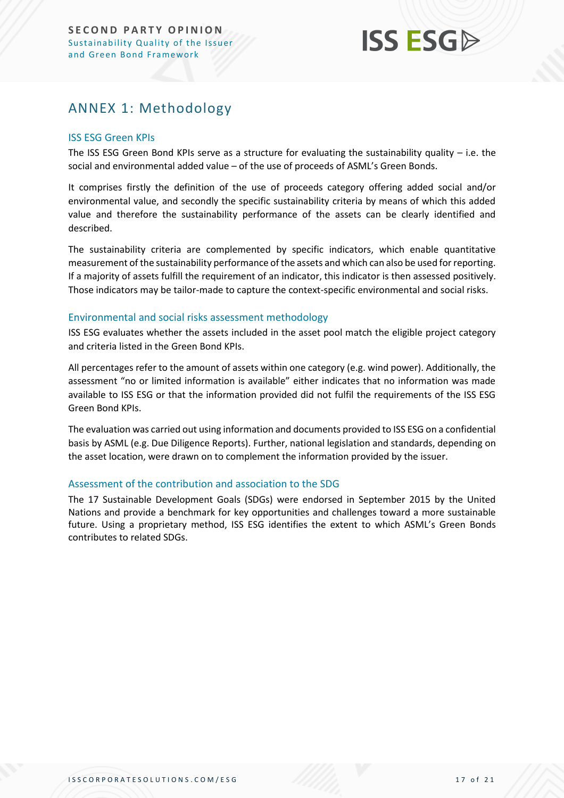## <span id="page-16-0"></span>ANNEX 1: Methodology

#### ISS ESG Green KPIs

The ISS ESG Green Bond KPIs serve as a structure for evaluating the sustainability quality  $-$  i.e. the social and environmental added value – of the use of proceeds of ASML's Green Bonds.

It comprises firstly the definition of the use of proceeds category offering added social and/or environmental value, and secondly the specific sustainability criteria by means of which this added value and therefore the sustainability performance of the assets can be clearly identified and described.

The sustainability criteria are complemented by specific indicators, which enable quantitative measurement of the sustainability performance of the assets and which can also be used for reporting. If a majority of assets fulfill the requirement of an indicator, this indicator is then assessed positively. Those indicators may be tailor-made to capture the context-specific environmental and social risks.

#### Environmental and social risks assessment methodology

ISS ESG evaluates whether the assets included in the asset pool match the eligible project category and criteria listed in the Green Bond KPIs.

All percentages refer to the amount of assets within one category (e.g. wind power). Additionally, the assessment "no or limited information is available" either indicates that no information was made available to ISS ESG or that the information provided did not fulfil the requirements of the ISS ESG Green Bond KPIs.

The evaluation was carried out using information and documents provided to ISS ESG on a confidential basis by ASML (e.g. Due Diligence Reports). Further, national legislation and standards, depending on the asset location, were drawn on to complement the information provided by the issuer.

#### Assessment of the contribution and association to the SDG

The 17 Sustainable Development Goals (SDGs) were endorsed in September 2015 by the United Nations and provide a benchmark for key opportunities and challenges toward a more sustainable future. Using a proprietary method, ISS ESG identifies the extent to which ASML's Green Bonds contributes to related SDGs.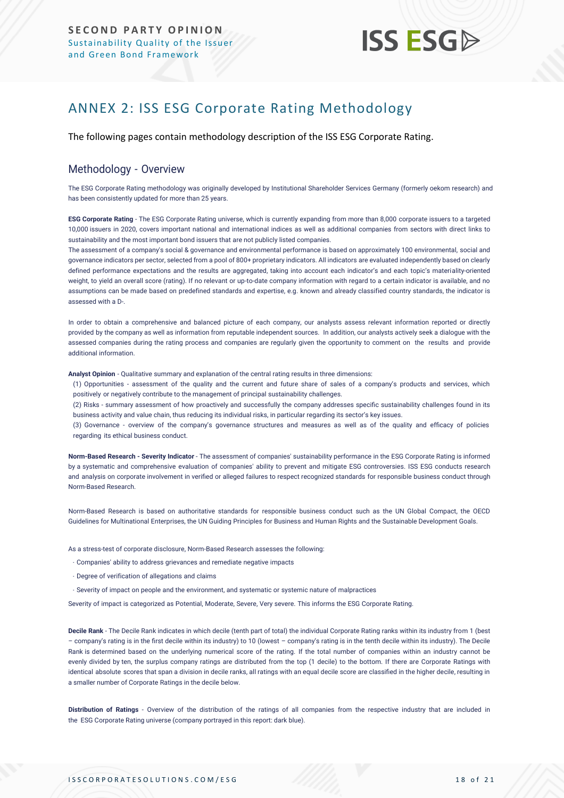## <span id="page-17-0"></span>ANNEX 2: ISS ESG Corporate Rating Methodology

The following pages contain methodology description of the ISS ESG Corporate Rating.

#### Methodology - Overview

The ESG Corporate Rating methodology was originally developed by Institutional Shareholder Services Germany (formerly oekom research) and has been consistently updated for more than 25 years.

**ESG Corporate Rating** - The ESG Corporate Rating universe, which is currently expanding from more than 8,000 corporate issuers to a targeted 10,000 issuers in 2020, covers important national and international indices as well as additional companies from sectors with direct links to sustainability and the most important bond issuers that are not publicly listed companies.

The assessment of a company's social & governance and environmental performance is based on approximately 100 environmental, social and governance indicators per sector, selected from a pool of 800+ proprietary indicators. All indicators are evaluated independently based on clearly defined performance expectations and the results are aggregated, taking into account each indicator's and each topic's materiality-oriented weight, to yield an overall score (rating). If no relevant or up-to-date company information with regard to a certain indicator is available, and no assumptions can be made based on predefined standards and expertise, e.g. known and already classified country standards, the indicator is assessed with a D-.

In order to obtain a comprehensive and balanced picture of each company, our analysts assess relevant information reported or directly provided by the company as well as information from reputable independent sources. In addition, our analysts actively seek a dialogue with the assessed companies during the rating process and companies are regularly given the opportunity to comment on the results and provide additional information.

**Analyst Opinion** - Qualitative summary and explanation of the central rating results in three dimensions:

(1) Opportunities - assessment of the quality and the current and future share of sales of a company's products and services, which positively or negatively contribute to the management of principal sustainability challenges.

(2) Risks - summary assessment of how proactively and successfully the company addresses specific sustainability challenges found in its business activity and value chain, thus reducing its individual risks, in particular regarding its sector's key issues.

(3) Governance - overview of the company's governance structures and measures as well as of the quality and efficacy of policies regarding its ethical business conduct.

**Norm-Based Research - Severity Indicator** - The assessment of companies' sustainability performance in the ESG Corporate Rating is informed by a systematic and comprehensive evaluation of companies' ability to prevent and mitigate ESG controversies. ISS ESG conducts research and analysis [on corporate involvement in verified or alleged failures to respect recognized standards](https://www.issgovernance.com/esg/screening/esg-screening-solutions/#nbr_techdoc_download) for responsible business conduct through [Norm-Based](https://www.issgovernance.com/esg/screening/esg-screening-solutions/#nbr_techdoc_download) Research.

Norm-Based Research is based on authoritative standards for responsible business conduct such as the UN Global Compact, the OECD Guidelines for Multinational Enterprises, the UN Guiding Principles for Business and Human Rights and the Sustainable Development Goals.

As a stress-test of corporate disclosure, Norm-Based Research assesses the following:

- Companies' ability to address grievances and remediate negative impacts
- Degree of verification of allegations and claims
- Severity of impact on people and the environment, and systematic or systemic nature of malpractices

Severity of impact is categorized as Potential, Moderate, Severe, Very severe. This informs the ESG Corporate Rating.

**Decile Rank** - The Decile Rank indicates in which decile (tenth part of total) the individual Corporate Rating ranks within its industry from 1 (best – company's rating is in the first decile within its industry) to 10 (lowest – company's rating is in the tenth decile within its industry). The Decile Rank is determined based on the underlying numerical score of the rating. If the total number of companies within an industry cannot be evenly divided by ten, the surplus company ratings are distributed from the top (1 decile) to the bottom. If there are Corporate Ratings with identical absolute scores that span a division in decile ranks, all ratings with an equal decile score are classified in the higher decile, resulting in a smaller number of Corporate Ratings in the decile below.

**Distribution of Ratings** - Overview of the distribution of the ratings of all companies from the respective industry that are included in the ESG Corporate Rating universe (company portrayed in this report: dark blue).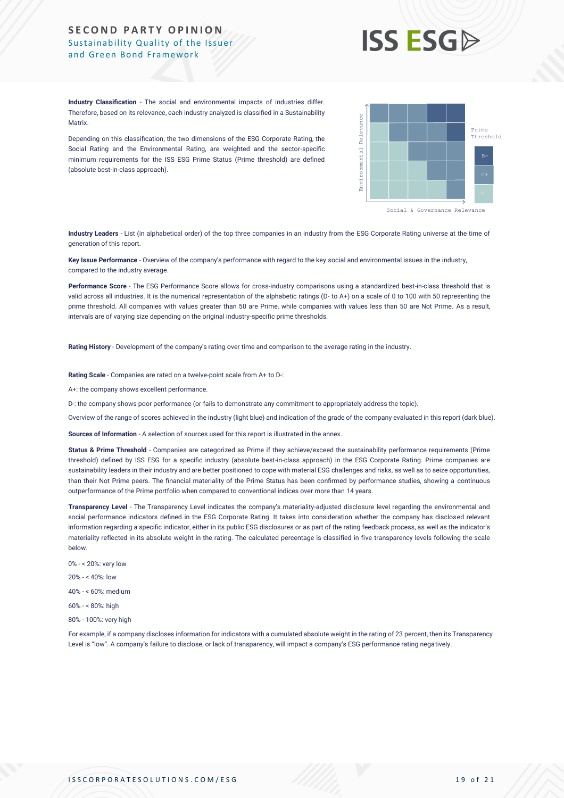#### **SECOND PARTY OPINION** Sustainability Quality of the Issuer and Green Bond Framework



**Industry Classification** - The social and environmental impacts of industries differ. Therefore, based on its relevance, each industry analyzed is classified in a Sustainability **Matrix** 

Depending on this classification, the two dimensions of the ESG Corporate Rating, the Social Rating and the Environmental Rating, are weighted and the sector-specific minimum requirements for the ISS ESG Prime Status (Prime threshold) are defined (absolute best-in-class approach).



**Industry Leaders** - List (in alphabetical order) of the top three companies in an industry from the ESG Corporate Rating universe at the time of generation of this report.

**Key Issue Performance** - Overview of the company's performance with regard to the key social and environmental issues in the industry, compared to the industry average.

**Performance Score** - The ESG Performance Score allows for cross-industry comparisons using a standardized best-in-class threshold that is valid across all industries. It is the numerical representation of the alphabetic ratings (D- to A+) on a scale of 0 to 100 with 50 representing the prime threshold. All companies with values greater than 50 are Prime, while companies with values less than 50 are Not Prime. As a result, intervals are of varying size depending on the original industry-specific prime thresholds.

**Rating History** - Development of the company's rating over time and comparison to the average rating in the industry.

**Rating Scale** - Companies are rated on a twelve-point scale from A+ to D-:

A+: the company shows excellent performance.

D-: the company shows poor performance (or fails to demonstrate any commitment to appropriately address the topic).

Overview of the range of scores achieved in the industry (light blue) and indication of the grade of the company evaluated in this report (dark blue).

**Sources of Information** - A selection of sources used for this report is illustrated in the annex.

Status & Prime Threshold - Companies are categorized as Prime if they achieve/exceed the sustainability performance requirements (Prime threshold) defined by ISS ESG for a specific industry (absolute best-in-class approach) in the ESG Corporate Rating. Prime companies are sustainability leaders in their industry and are better positioned to cope with material ESG challenges and risks, as well as to seize opportunities, than their Not Prime peers. The financial materiality of the Prime Status has been confirmed by performance studies, showing a continuous outperformance of the Prime portfolio when compared to conventional indices over more than 14 years. Metrics The metrics of the disclose or lack of the transparency of the second state of transparency in the second state of transparency in the metrics of the second state a company is the second state a company is the seco

**Transparency Level** - The Transparency Level indicates the company's materiality-adjusted disclosure level regarding the environmental and social performance indicators defined in the ESG Corporate Rating. It takes into consideration whether the company has disclosed relevant information regarding a specific indicator, either in its public ESG disclosures or as part of the rating feedback process, as well as the indicator's materiality reflected in its absolute weight in the rating. The calculated percentage is classified in five transparency levels following the scale below.

- 0% < 20%: very low
- 20% < 40%: low

40% - < 60%: medium

- 60% < 80%: high
- 80% 100%: very high

For example, if a company discloses information for indicators with a cumulated absolute weight in the rating of 23 percent, then its Transparency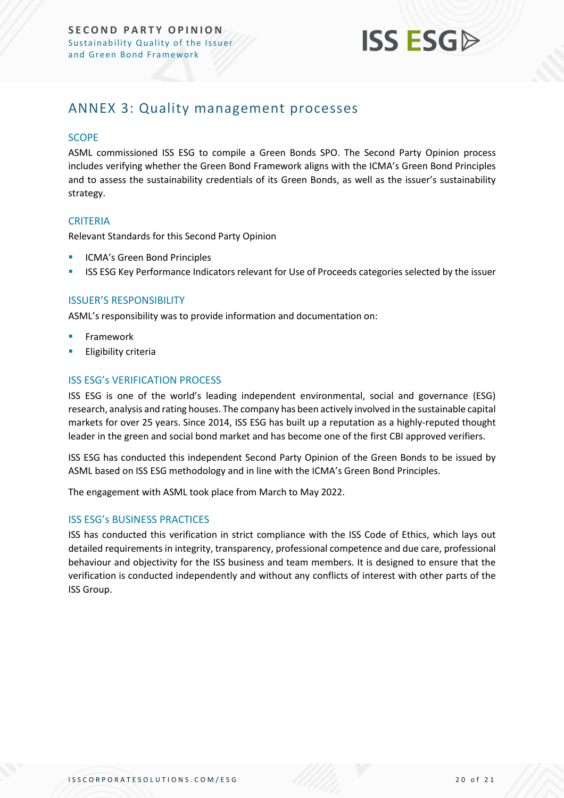

### <span id="page-19-0"></span>ANNEX 3: Quality management processes

#### **SCOPE**

ASML commissioned ISS ESG to compile a Green Bonds SPO. The Second Party Opinion process includes verifying whether the Green Bond Framework aligns with the ICMA's Green Bond Principles and to assess the sustainability credentials of its Green Bonds, as well as the issuer's sustainability strategy.

#### **CRITERIA**

Relevant Standards for this Second Party Opinion

- ICMA's Green Bond Principles
- **■** ISS ESG Key Performance Indicators relevant for Use of Proceeds categories selected by the issuer

#### ISSUER'S RESPONSIBILITY

ASML's responsibility was to provide information and documentation on:

- **Framework**
- **Eligibility criteria**

#### ISS ESG's VERIFICATION PROCESS

ISS ESG is one of the world's leading independent environmental, social and governance (ESG) research, analysis and rating houses. The company has been actively involved in the sustainable capital markets for over 25 years. Since 2014, ISS ESG has built up a reputation as a highly-reputed thought leader in the green and social bond market and has become one of the first CBI approved verifiers.

ISS ESG has conducted this independent Second Party Opinion of the Green Bonds to be issued by ASML based on ISS ESG methodology and in line with the ICMA's Green Bond Principles.

The engagement with ASML took place from March to May 2022.

#### ISS ESG's BUSINESS PRACTICES

ISS has conducted this verification in strict compliance with the ISS Code of Ethics, which lays out detailed requirements in integrity, transparency, professional competence and due care, professional behaviour and objectivity for the ISS business and team members. It is designed to ensure that the verification is conducted independently and without any conflicts of interest with other parts of the ISS Group.